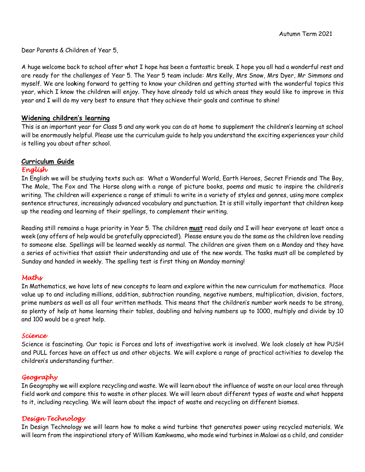Dear Parents & Children of Year 5,

A huge welcome back to school after what I hope has been a fantastic break. I hope you all had a wonderful rest and are ready for the challenges of Year 5. The Year 5 team include: Mrs Kelly, Mrs Snow, Mrs Dyer, Mr Simmons and myself. We are loo**k**ing forward to getting to know your children and getting started with the wonderful topics this year, which I know the children will enjoy. They have already told us which areas they would like to improve in this year and I will do my very best to ensure that they achieve their goals and continue to shine!

# **Widening children's learning**

This is an important year for Class 5 and any work you can do at home to supplement the children's learning at school will be enormously helpful. Please use the curriculum guide to help you understand the exciting experiences your child is telling you about after school.

# **Curriculum Guide**

#### *English*

In English we will be studying texts such as: What a Wonderful World, Earth Heroes, Secret Friends and The Boy, The Mole, The Fox and The Horse along with a range of picture books, poems and music to inspire the children's writing. The children will experience a range of stimuli to write in a variety of styles and genres, using more complex sentence structures, increasingly advanced vocabulary and punctuation. It is still vitally important that children keep up the reading and learning of their spellings, to complement their writing.

Reading still remains a huge priority in Year 5. The children **must** read daily and I will hear everyone at least once a week (any offers of help would be gratefully appreciated!). Please ensure you do the same as the children love reading to someone else. Spellings will be learned weekly as normal. The children are given them on a Monday and they have a series of activities that assist their understanding and use of the new words. The tasks must all be completed by Sunday and handed in weekly. The spelling test is first thing on Monday morning!

# *Maths*

In Mathematics, we have lots of new concepts to learn and explore within the new curriculum for mathematics. Place value up to and including millions, addition, subtraction rounding, negative numbers, multiplication, division, factors, prime numbers as well as all four written methods. This means that the children's number work needs to be strong, so plenty of help at home learning their tables, doubling and halving numbers up to 1000, multiply and divide by 10 and 100 would be a great help.

#### *Science*

Science is fascinating. Our topic is Forces and lots of investigative work is involved. We look closely at how PUSH and PULL forces have an affect us and other objects. We will explore a range of practical activities to develop the children's understanding further.

# *Geography*

In Geography we will explore recycling and waste. We will learn about the influence of waste on our local area through field work and compare this to waste in other places. We will learn about different types of waste and what happens to it, including recycling. We will learn about the impact of waste and recycling on different biomes.

# *Design Technology*

In Design Technology we will learn how to make a wind turbine that generates power using recycled materials. We will learn from the inspirational story of William Kamkwama, who made wind turbines in Malawi as a child, and consider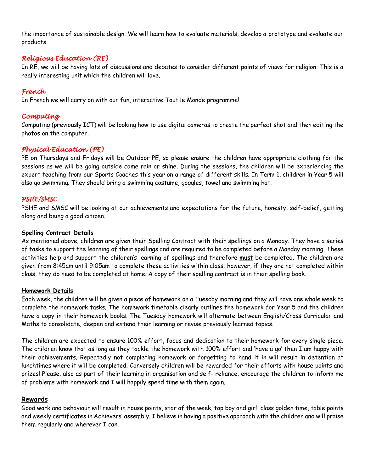the importance of sustainable design. We will learn how to evaluate materials, develop a prototype and evaluate our products.

# *Religious Education (RE)*

In RE, we will be having lots of discussions and debates to consider different points of views for religion. This is a really interesting unit which the children will love.

# *French*

In French we will carry on with our fun, interactive Tout le Monde programme!

# *Computing*

Computing (previously ICT) will be looking how to use digital cameras to create the perfect shot and then editing the photos on the computer.

# *Physical Education (PE)*

PE on Thursdays and Fridays will be Outdoor PE, so please ensure the children have appropriate clothing for the sessions as we will be going outside come rain or shine. During the sessions, the children will be experiencing the expert teaching from our Sports Coaches this year on a range of different skills. In Term 1, children in Year 5 will also go swimming. They should bring a swimming costume, goggles, towel and swimming hat.

# *PSHE/SMSC*

PSHE and SMSC will be looking at our achievements and expectations for the future, honesty, self-belief, getting along and being a good citizen.

### **Spelling Contract Details**

As mentioned above, children are given their Spelling Contract with their spellings on a Monday. They have a series of tasks to support the learning of their spellings and are required to be completed before a Monday morning. These activities help and support the children's learning of spellings and therefore **must** be completed. The children are given from 8:45am until 9:05am to complete these activities within class; however, if they are not completed within class, they do need to be completed at home. A copy of their spelling contract is in their spelling book.

#### **Homework Details**

Each week, the children will be given a piece of homework on a Tuesday morning and they will have one whole week to complete the homework tasks. The homework timetable clearly outlines the homework for Year 5 and the children have a copy in their homework books. The Tuesday homework will alternate between English/Cross Curricular and Maths to consolidate, deepen and extend their learning or revise previously learned topics.

The children are expected to ensure 100% effort, focus and dedication to their homework for every single piece. The children know that as long as they tackle the homework with 100% effort and 'have a go' then I am happy with their achievements. Repeatedly not completing homework or forgetting to hand it in will result in detention at lunchtimes where it will be completed. Conversely children will be rewarded for their efforts with house points and prizes! Please, also as part of their learning in organisation and self- reliance, encourage the children to inform me of problems with homework and I will happily spend time with them again.

# **Rewards**

Good work and behaviour will result in house points, star of the week, top boy and girl, class golden time, table points and weekly certificates in Achievers' assembly. I believe in having a positive approach with the children and will praise them regularly and wherever I can.